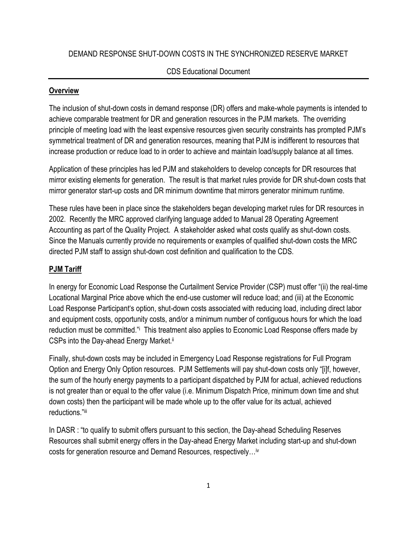#### DEMAND RESPONSE SHUT-DOWN COSTS IN THE SYNCHRONIZED RESERVE MARKET

#### CDS Educational Document

#### **Overview**

The inclusion of shut-down costs in demand response (DR) offers and make-whole payments is intended to achieve comparable treatment for DR and generation resources in the PJM markets. The overriding principle of meeting load with the least expensive resources given security constraints has prompted PJM"s symmetrical treatment of DR and generation resources, meaning that PJM is indifferent to resources that increase production or reduce load to in order to achieve and maintain load/supply balance at all times.

Application of these principles has led PJM and stakeholders to develop concepts for DR resources that mirror existing elements for generation. The result is that market rules provide for DR shut-down costs that mirror generator start-up costs and DR minimum downtime that mirrors generator minimum runtime.

These rules have been in place since the stakeholders began developing market rules for DR resources in 2002. Recently the MRC approved clarifying language added to Manual 28 Operating Agreement Accounting as part of the Quality Project. A stakeholder asked what costs qualify as shut-down costs. Since the Manuals currently provide no requirements or examples of qualified shut-down costs the MRC directed PJM staff to assign shut-down cost definition and qualification to the CDS.

#### **PJM Tariff**

In energy for Economic Load Response the Curtailment Service Provider (CSP) must offer "(ii) the real-time Locational Marginal Price above which the end-use customer will reduce load; and (iii) at the Economic Load Response Participant"s option, shut-down costs associated with reducing load, including direct labor and equipment costs, opportunity costs, and/or a minimum number of contiguous hours for which the load reduction must be committed." This treatment also applies to Economic Load Response offers made by CSPs into the Day-ahead Energy Market.ii

Finally, shut-down costs may be included in Emergency Load Response registrations for Full Program Option and Energy Only Option resources. PJM Settlements will pay shut-down costs only "[i]f, however, the sum of the hourly energy payments to a participant dispatched by PJM for actual, achieved reductions is not greater than or equal to the offer value (i.e. Minimum Dispatch Price, minimum down time and shut down costs) then the participant will be made whole up to the offer value for its actual, achieved reductions."iii

In DASR : "to qualify to submit offers pursuant to this section, the Day-ahead Scheduling Reserves Resources shall submit energy offers in the Day-ahead Energy Market including start-up and shut-down costs for generation resource and Demand Resources, respectively…iv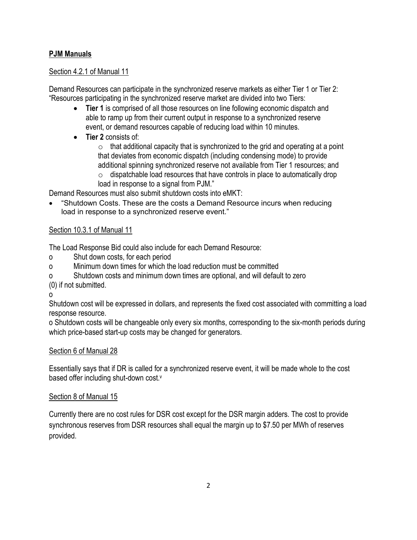## **PJM Manuals**

#### Section 4.2.1 of Manual 11

Demand Resources can participate in the synchronized reserve markets as either Tier 1 or Tier 2: "Resources participating in the synchronized reserve market are divided into two Tiers:

- **Tier 1** is comprised of all those resources on line following economic dispatch and able to ramp up from their current output in response to a synchronized reserve event, or demand resources capable of reducing load within 10 minutes.
- **Tier 2** consists of:

 $\circ$  that additional capacity that is synchronized to the grid and operating at a point that deviates from economic dispatch (including condensing mode) to provide additional spinning synchronized reserve not available from Tier 1 resources; and

 $\circ$  dispatchable load resources that have controls in place to automatically drop load in response to a signal from PJM."

Demand Resources must also submit shutdown costs into eMKT:

 "Shutdown Costs. These are the costs a Demand Resource incurs when reducing load in response to a synchronized reserve event."

### Section 10.3.1 of Manual 11

The Load Response Bid could also include for each Demand Resource:

- o Shut down costs, for each period
- o Minimum down times for which the load reduction must be committed
- o Shutdown costs and minimum down times are optional, and will default to zero

(0) if not submitted.

o

Shutdown cost will be expressed in dollars, and represents the fixed cost associated with committing a load response resource.

o Shutdown costs will be changeable only every six months, corresponding to the six-month periods during which price-based start-up costs may be changed for generators.

### Section 6 of Manual 28

Essentially says that if DR is called for a synchronized reserve event, it will be made whole to the cost based offer including shut-down cost.<sup>v</sup>

### Section 8 of Manual 15

Currently there are no cost rules for DSR cost except for the DSR margin adders. The cost to provide synchronous reserves from DSR resources shall equal the margin up to \$7.50 per MWh of reserves provided.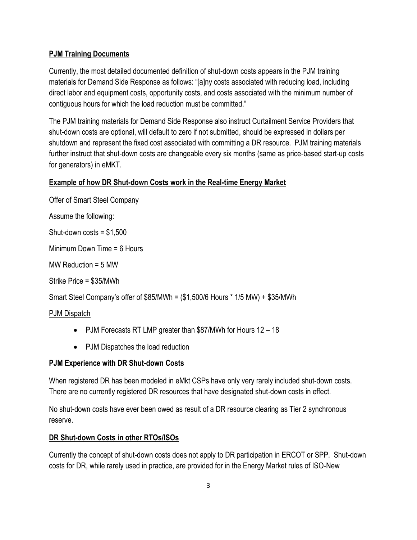### **PJM Training Documents**

Currently, the most detailed documented definition of shut-down costs appears in the PJM training materials for Demand Side Response as follows: "[a]ny costs associated with reducing load, including direct labor and equipment costs, opportunity costs, and costs associated with the minimum number of contiguous hours for which the load reduction must be committed."

The PJM training materials for Demand Side Response also instruct Curtailment Service Providers that shut-down costs are optional, will default to zero if not submitted, should be expressed in dollars per shutdown and represent the fixed cost associated with committing a DR resource. PJM training materials further instruct that shut-down costs are changeable every six months (same as price-based start-up costs for generators) in eMKT.

## **Example of how DR Shut-down Costs work in the Real-time Energy Market**

Offer of Smart Steel Company

Assume the following:

Shut-down  $costs = $1,500$ 

Minimum Down Time = 6 Hours

MW Reduction = 5 MW

Strike Price = \$35/MWh

Smart Steel Company"s offer of \$85/MWh = (\$1,500/6 Hours \* 1/5 MW) + \$35/MWh

### PJM Dispatch

- PJM Forecasts RT LMP greater than \$87/MWh for Hours 12 18
- PJM Dispatches the load reduction

### **PJM Experience with DR Shut-down Costs**

When registered DR has been modeled in eMkt CSPs have only very rarely included shut-down costs. There are no currently registered DR resources that have designated shut-down costs in effect.

No shut-down costs have ever been owed as result of a DR resource clearing as Tier 2 synchronous reserve.

### **DR Shut-down Costs in other RTOs/ISOs**

Currently the concept of shut-down costs does not apply to DR participation in ERCOT or SPP. Shut-down costs for DR, while rarely used in practice, are provided for in the Energy Market rules of ISO-New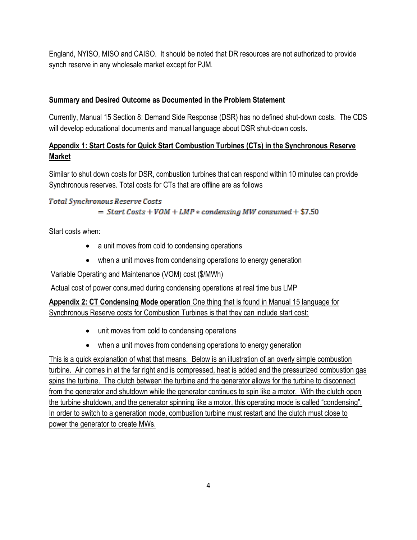England, NYISO, MISO and CAISO. It should be noted that DR resources are not authorized to provide synch reserve in any wholesale market except for PJM.

## **Summary and Desired Outcome as Documented in the Problem Statement**

Currently, Manual 15 Section 8: Demand Side Response (DSR) has no defined shut-down costs. The CDS will develop educational documents and manual language about DSR shut-down costs.

# **Appendix 1: Start Costs for Quick Start Combustion Turbines (CTs) in the Synchronous Reserve Market**

Similar to shut down costs for DSR, combustion turbines that can respond within 10 minutes can provide Synchronous reserves. Total costs for CTs that are offline are as follows

### Total Synchronous Reserve Costs

 $=$  Start Costs + VOM + LMP  $*$  condensing MW consumed + \$7.50

Start costs when:

- a unit moves from cold to condensing operations
- when a unit moves from condensing operations to energy generation

Variable Operating and Maintenance (VOM) cost (\$/MWh)

Actual cost of power consumed during condensing operations at real time bus LMP

**Appendix 2: CT Condensing Mode operation** One thing that is found in Manual 15 language for Synchronous Reserve costs for Combustion Turbines is that they can include start cost:

- unit moves from cold to condensing operations
- when a unit moves from condensing operations to energy generation

This is a quick explanation of what that means. Below is an illustration of an overly simple combustion turbine. Air comes in at the far right and is compressed, heat is added and the pressurized combustion gas spins the turbine. The clutch between the turbine and the generator allows for the turbine to disconnect from the generator and shutdown while the generator continues to spin like a motor. With the clutch open the turbine shutdown, and the generator spinning like a motor, this operating mode is called "condensing". In order to switch to a generation mode, combustion turbine must restart and the clutch must close to power the generator to create MWs.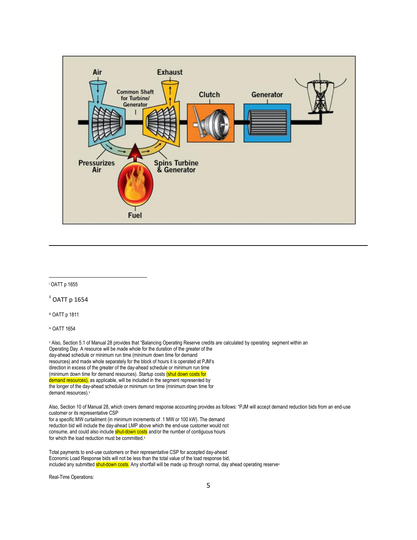

i OATT p 1655

 $\overline{\phantom{a}}$ 

ii OATT p 1654

iii OATT p 1811

iv OATT 1654

v Also, Section 5.1 of Manual 28 provides that "Balancing Operating Reserve credits are calculated by operating segment within an Operating Day. A resource will be made whole for the duration of the greater of the day-ahead schedule or minimum run time (minimum down time for demand resources) and made whole separately for the block of hours it is operated at PJM"s direction in excess of the greater of the day-ahead schedule or minimum run time (minimum down time for demand resources). Startup costs (shut down costs for demand resources), as applicable, will be included in the segment represented by the longer of the day-ahead schedule or minimum run time (minimum down time for demand resources).<sup>v</sup>

Also, Section 10 of Manual 28, which covers demand response accounting provides as follows: "PJM will accept demand reduction bids from an end-use customer or its representative CSP

for a specific MW curtailment (in minimum increments of .1 MW or 100 kW). The demand reduction bid will include the day-ahead LMP above which the end-use customer would not consume, and could also include shut-down costs and/or the number of contiguous hours for which the load reduction must be committed.v

Total payments to end-use customers or their representative CSP for accepted day-ahead Economic Load Response bids will not be less than the total value of the load response bid, included any submitted shut-down costs. Any shortfall will be made up through normal, day ahead operating reservev

Real-Time Operations: